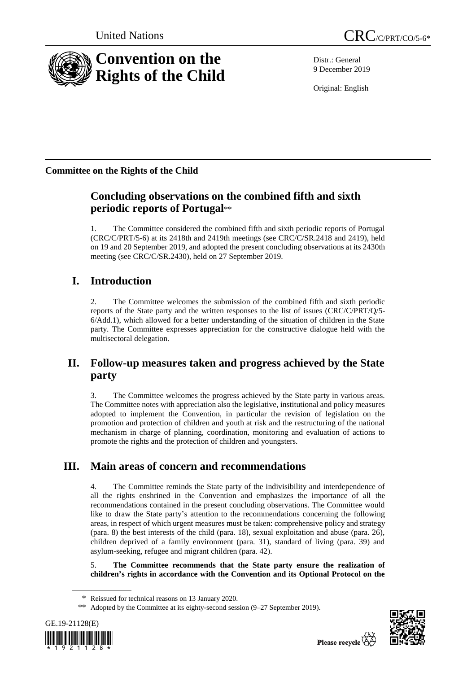

Distr.: General 9 December 2019

Original: English

## **Committee on the Rights of the Child**

# **Concluding observations on the combined fifth and sixth periodic reports of Portugal**\*\*

1. The Committee considered the combined fifth and sixth periodic reports of Portugal (CRC/C/PRT/5-6) at its 2418th and 2419th meetings (see CRC/C/SR.2418 and 2419), held on 19 and 20 September 2019, and adopted the present concluding observations at its 2430th meeting (see CRC/C/SR.2430), held on 27 September 2019.

# **I. Introduction**

2. The Committee welcomes the submission of the combined fifth and sixth periodic reports of the State party and the written responses to the list of issues (CRC/C/PRT/Q/5- 6/Add.1), which allowed for a better understanding of the situation of children in the State party. The Committee expresses appreciation for the constructive dialogue held with the multisectoral delegation.

## **II. Follow-up measures taken and progress achieved by the State party**

3. The Committee welcomes the progress achieved by the State party in various areas. The Committee notes with appreciation also the legislative, institutional and policy measures adopted to implement the Convention, in particular the revision of legislation on the promotion and protection of children and youth at risk and the restructuring of the national mechanism in charge of planning, coordination, monitoring and evaluation of actions to promote the rights and the protection of children and youngsters.

# **III. Main areas of concern and recommendations**

4. The Committee reminds the State party of the indivisibility and interdependence of all the rights enshrined in the Convention and emphasizes the importance of all the recommendations contained in the present concluding observations. The Committee would like to draw the State party's attention to the recommendations concerning the following areas, in respect of which urgent measures must be taken: comprehensive policy and strategy (para. 8) the best interests of the child (para. 18), sexual exploitation and abuse (para. 26), children deprived of a family environment (para. 31), standard of living (para. 39) and asylum-seeking, refugee and migrant children (para. 42).

5. **The Committee recommends that the State party ensure the realization of children's rights in accordance with the Convention and its Optional Protocol on the** 

<sup>\*\*</sup> Adopted by the Committee at its eighty-second session (9–27 September 2019).





<sup>\*</sup> Reissued for technical reasons on 13 January 2020.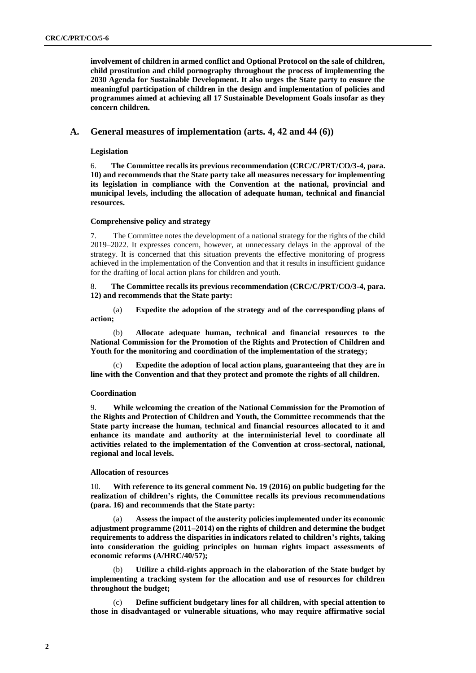**involvement of children in armed conflict and Optional Protocol on the sale of children, child prostitution and child pornography throughout the process of implementing the 2030 Agenda for Sustainable Development. It also urges the State party to ensure the meaningful participation of children in the design and implementation of policies and programmes aimed at achieving all 17 Sustainable Development Goals insofar as they concern children.**

## **A. General measures of implementation (arts. 4, 42 and 44 (6))**

**Legislation**

6. **The Committee recalls its previous recommendation (CRC/C/PRT/CO/3-4, para. 10) and recommends that the State party take all measures necessary for implementing its legislation in compliance with the Convention at the national, provincial and municipal levels, including the allocation of adequate human, technical and financial resources.**

#### **Comprehensive policy and strategy**

7. The Committee notes the development of a national strategy for the rights of the child 2019–2022. It expresses concern, however, at unnecessary delays in the approval of the strategy. It is concerned that this situation prevents the effective monitoring of progress achieved in the implementation of the Convention and that it results in insufficient guidance for the drafting of local action plans for children and youth.

8. **The Committee recalls its previous recommendation (CRC/C/PRT/CO/3-4, para. 12) and recommends that the State party:**

(a) **Expedite the adoption of the strategy and of the corresponding plans of action;**

(b) **Allocate adequate human, technical and financial resources to the National Commission for the Promotion of the Rights and Protection of Children and Youth for the monitoring and coordination of the implementation of the strategy;**

**Expedite the adoption of local action plans, guaranteeing that they are in line with the Convention and that they protect and promote the rights of all children.**

#### **Coordination**

9. **While welcoming the creation of the National Commission for the Promotion of the Rights and Protection of Children and Youth, the Committee recommends that the State party increase the human, technical and financial resources allocated to it and enhance its mandate and authority at the interministerial level to coordinate all activities related to the implementation of the Convention at cross-sectoral, national, regional and local levels.**

#### **Allocation of resources**

10. **With reference to its general comment No. 19 (2016) on public budgeting for the realization of children's rights, the Committee recalls its previous recommendations (para. 16) and recommends that the State party:**

(a) **Assess the impact of the austerity policies implemented under its economic adjustment programme (2011–2014) on the rights of children and determine the budget requirements to address the disparities in indicators related to children's rights, taking into consideration the guiding principles on human rights impact assessments of economic reforms (A/HRC/40/57);**

Utilize a child-rights approach in the elaboration of the State budget by **implementing a tracking system for the allocation and use of resources for children throughout the budget;**

(c) **Define sufficient budgetary lines for all children, with special attention to those in disadvantaged or vulnerable situations, who may require affirmative social**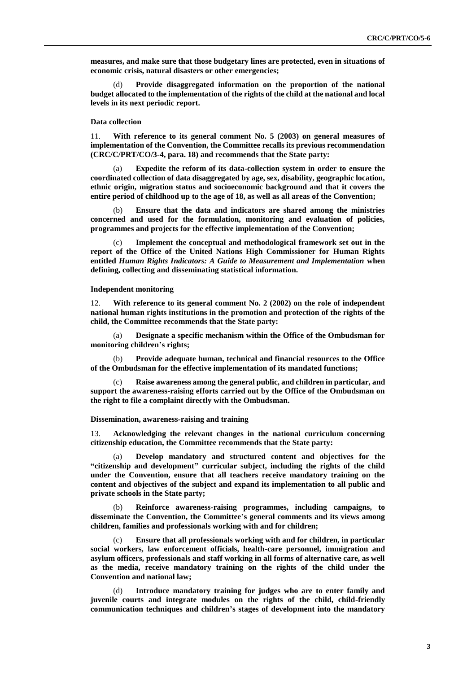**measures, and make sure that those budgetary lines are protected, even in situations of economic crisis, natural disasters or other emergencies;**

Provide disaggregated information on the proportion of the national **budget allocated to the implementation of the rights of the child at the national and local levels in its next periodic report.**

### **Data collection**

11. **With reference to its general comment No. 5 (2003) on general measures of implementation of the Convention, the Committee recalls its previous recommendation (CRC/C/PRT/CO/3-4, para. 18) and recommends that the State party:** 

(a) **Expedite the reform of its data-collection system in order to ensure the coordinated collection of data disaggregated by age, sex, disability, geographic location, ethnic origin, migration status and socioeconomic background and that it covers the entire period of childhood up to the age of 18, as well as all areas of the Convention;**

(b) **Ensure that the data and indicators are shared among the ministries concerned and used for the formulation, monitoring and evaluation of policies, programmes and projects for the effective implementation of the Convention;**

(c) **Implement the conceptual and methodological framework set out in the report of the Office of the United Nations High Commissioner for Human Rights entitled** *Human Rights Indicators: A Guide to Measurement and Implementation* **when defining, collecting and disseminating statistical information.**

#### **Independent monitoring**

With reference to its general comment No. 2 (2002) on the role of independent **national human rights institutions in the promotion and protection of the rights of the child, the Committee recommends that the State party:**

(a) **Designate a specific mechanism within the Office of the Ombudsman for monitoring children's rights;** 

(b) **Provide adequate human, technical and financial resources to the Office of the Ombudsman for the effective implementation of its mandated functions;**

Raise awareness among the general public, and children in particular, and **support the awareness-raising efforts carried out by the Office of the Ombudsman on the right to file a complaint directly with the Ombudsman.** 

#### **Dissemination, awareness-raising and training**

13. **Acknowledging the relevant changes in the national curriculum concerning citizenship education, the Committee recommends that the State party:**

(a) **Develop mandatory and structured content and objectives for the "citizenship and development" curricular subject, including the rights of the child under the Convention, ensure that all teachers receive mandatory training on the content and objectives of the subject and expand its implementation to all public and private schools in the State party;**

(b) **Reinforce awareness-raising programmes, including campaigns, to disseminate the Convention, the Committee's general comments and its views among children, families and professionals working with and for children;**

(c) **Ensure that all professionals working with and for children, in particular social workers, law enforcement officials, health-care personnel, immigration and asylum officers, professionals and staff working in all forms of alternative care, as well as the media, receive mandatory training on the rights of the child under the Convention and national law;**

Introduce mandatory training for judges who are to enter family and **juvenile courts and integrate modules on the rights of the child, child-friendly communication techniques and children's stages of development into the mandatory**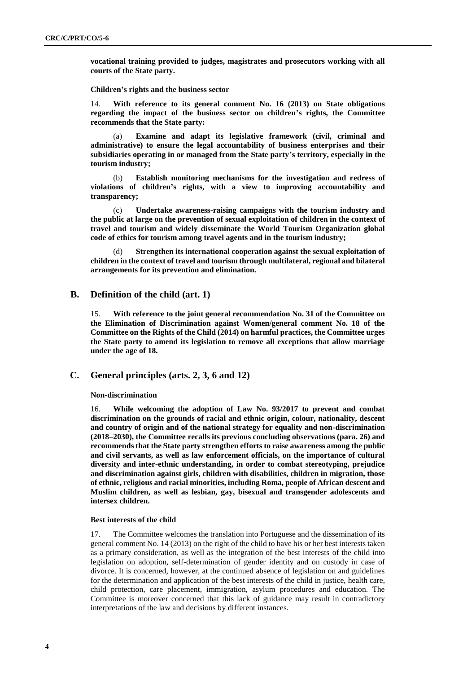**vocational training provided to judges, magistrates and prosecutors working with all courts of the State party.**

**Children's rights and the business sector**

14. **With reference to its general comment No. 16 (2013) on State obligations regarding the impact of the business sector on children's rights, the Committee recommends that the State party:**

(a) **Examine and adapt its legislative framework (civil, criminal and administrative) to ensure the legal accountability of business enterprises and their subsidiaries operating in or managed from the State party's territory, especially in the tourism industry;**

(b) **Establish monitoring mechanisms for the investigation and redress of violations of children's rights, with a view to improving accountability and transparency;**

(c) **Undertake awareness-raising campaigns with the tourism industry and the public at large on the prevention of sexual exploitation of children in the context of travel and tourism and widely disseminate the World Tourism Organization global code of ethics for tourism among travel agents and in the tourism industry;** 

(d) **Strengthen its international cooperation against the sexual exploitation of children in the context of travel and tourism through multilateral, regional and bilateral arrangements for its prevention and elimination.**

## **B. Definition of the child (art. 1)**

15. **With reference to the joint general recommendation No. 31 of the Committee on the Elimination of Discrimination against Women/general comment No. 18 of the Committee on the Rights of the Child (2014) on harmful practices, the Committee urges the State party to amend its legislation to remove all exceptions that allow marriage under the age of 18.** 

## **C. General principles (arts. 2, 3, 6 and 12)**

#### **Non-discrimination**

16. **While welcoming the adoption of Law No. 93/2017 to prevent and combat discrimination on the grounds of racial and ethnic origin, colour, nationality, descent and country of origin and of the national strategy for equality and non-discrimination (2018–2030), the Committee recalls its previous concluding observations (para. 26) and recommends that the State party strengthen efforts to raise awareness among the public and civil servants, as well as law enforcement officials, on the importance of cultural diversity and inter-ethnic understanding, in order to combat stereotyping, prejudice and discrimination against girls, children with disabilities, children in migration, those of ethnic, religious and racial minorities, including Roma, people of African descent and Muslim children, as well as lesbian, gay, bisexual and transgender adolescents and intersex children.**

#### **Best interests of the child**

17. The Committee welcomes the translation into Portuguese and the dissemination of its general comment No. 14 (2013) on the right of the child to have his or her best interests taken as a primary consideration, as well as the integration of the best interests of the child into legislation on adoption, self-determination of gender identity and on custody in case of divorce. It is concerned, however, at the continued absence of legislation on and guidelines for the determination and application of the best interests of the child in justice, health care, child protection, care placement, immigration, asylum procedures and education. The Committee is moreover concerned that this lack of guidance may result in contradictory interpretations of the law and decisions by different instances.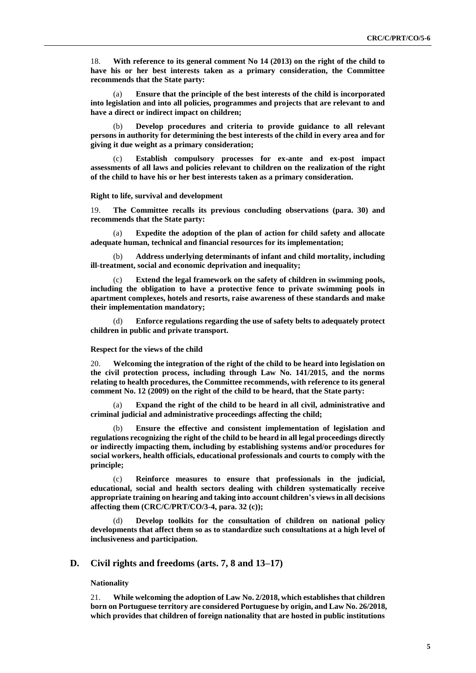18. **With reference to its general comment No 14 (2013) on the right of the child to have his or her best interests taken as a primary consideration, the Committee recommends that the State party:**

Ensure that the principle of the best interests of the child is incorporated **into legislation and into all policies, programmes and projects that are relevant to and have a direct or indirect impact on children;**

(b) **Develop procedures and criteria to provide guidance to all relevant persons in authority for determining the best interests of the child in every area and for giving it due weight as a primary consideration;**

Establish compulsory processes for ex-ante and ex-post impact **assessments of all laws and policies relevant to children on the realization of the right of the child to have his or her best interests taken as a primary consideration.**

#### **Right to life, survival and development**

19. **The Committee recalls its previous concluding observations (para. 30) and recommends that the State party:**

(a) **Expedite the adoption of the plan of action for child safety and allocate adequate human, technical and financial resources for its implementation;**

(b) **Address underlying determinants of infant and child mortality, including ill-treatment, social and economic deprivation and inequality;**

(c) **Extend the legal framework on the safety of children in swimming pools, including the obligation to have a protective fence to private swimming pools in apartment complexes, hotels and resorts, raise awareness of these standards and make their implementation mandatory;**

(d) **Enforce regulations regarding the use of safety belts to adequately protect children in public and private transport.**

#### **Respect for the views of the child**

20. **Welcoming the integration of the right of the child to be heard into legislation on the civil protection process, including through Law No. 141/2015, and the norms relating to health procedures, the Committee recommends, with reference to its general comment No. 12 (2009) on the right of the child to be heard, that the State party:** 

(a) **Expand the right of the child to be heard in all civil, administrative and criminal judicial and administrative proceedings affecting the child;** 

(b) **Ensure the effective and consistent implementation of legislation and regulations recognizing the right of the child to be heard in all legal proceedings directly or indirectly impacting them, including by establishing systems and/or procedures for social workers, health officials, educational professionals and courts to comply with the principle;** 

(c) **Reinforce measures to ensure that professionals in the judicial, educational, social and health sectors dealing with children systematically receive appropriate training on hearing and taking into account children's views in all decisions affecting them (CRC/C/PRT/CO/3-4, para. 32 (c));**

(d) **Develop toolkits for the consultation of children on national policy developments that affect them so as to standardize such consultations at a high level of inclusiveness and participation.** 

### **D. Civil rights and freedoms (arts. 7, 8 and 13–17)**

### **Nationality**

21. **While welcoming the adoption of Law No. 2/2018, which establishes that children born on Portuguese territory are considered Portuguese by origin, and Law No. 26/2018, which provides that children of foreign nationality that are hosted in public institutions**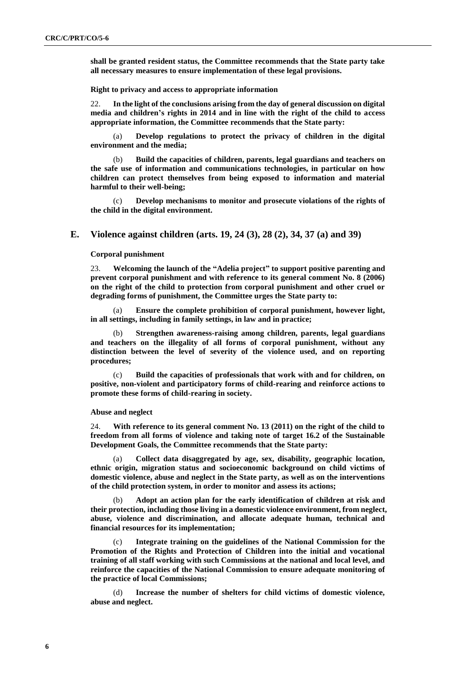**shall be granted resident status, the Committee recommends that the State party take all necessary measures to ensure implementation of these legal provisions.**

**Right to privacy and access to appropriate information**

22. **In the light of the conclusions arising from the day of general discussion on digital media and children's rights in 2014 and in line with the right of the child to access appropriate information, the Committee recommends that the State party:**

(a) **Develop regulations to protect the privacy of children in the digital environment and the media;**

(b) **Build the capacities of children, parents, legal guardians and teachers on the safe use of information and communications technologies, in particular on how children can protect themselves from being exposed to information and material harmful to their well-being;**

(c) **Develop mechanisms to monitor and prosecute violations of the rights of the child in the digital environment.**

## **E. Violence against children (arts. 19, 24 (3), 28 (2), 34, 37 (a) and 39)**

#### **Corporal punishment**

23. **Welcoming the launch of the "Adelia project" to support positive parenting and prevent corporal punishment and with reference to its general comment No. 8 (2006) on the right of the child to protection from corporal punishment and other cruel or degrading forms of punishment, the Committee urges the State party to:**

(a) **Ensure the complete prohibition of corporal punishment, however light, in all settings, including in family settings, in law and in practice;**

(b) **Strengthen awareness-raising among children, parents, legal guardians and teachers on the illegality of all forms of corporal punishment, without any distinction between the level of severity of the violence used, and on reporting procedures;**

(c) **Build the capacities of professionals that work with and for children, on positive, non-violent and participatory forms of child-rearing and reinforce actions to promote these forms of child-rearing in society.**

#### **Abuse and neglect**

24. **With reference to its general comment No. 13 (2011) on the right of the child to freedom from all forms of violence and taking note of target 16.2 of the Sustainable Development Goals, the Committee recommends that the State party:**

(a) **Collect data disaggregated by age, sex, disability, geographic location, ethnic origin, migration status and socioeconomic background on child victims of domestic violence, abuse and neglect in the State party, as well as on the interventions of the child protection system, in order to monitor and assess its actions;** 

(b) **Adopt an action plan for the early identification of children at risk and their protection, including those living in a domestic violence environment, from neglect, abuse, violence and discrimination, and allocate adequate human, technical and financial resources for its implementation;**

(c) **Integrate training on the guidelines of the National Commission for the Promotion of the Rights and Protection of Children into the initial and vocational training of all staff working with such Commissions at the national and local level, and reinforce the capacities of the National Commission to ensure adequate monitoring of the practice of local Commissions;**

(d) **Increase the number of shelters for child victims of domestic violence, abuse and neglect.**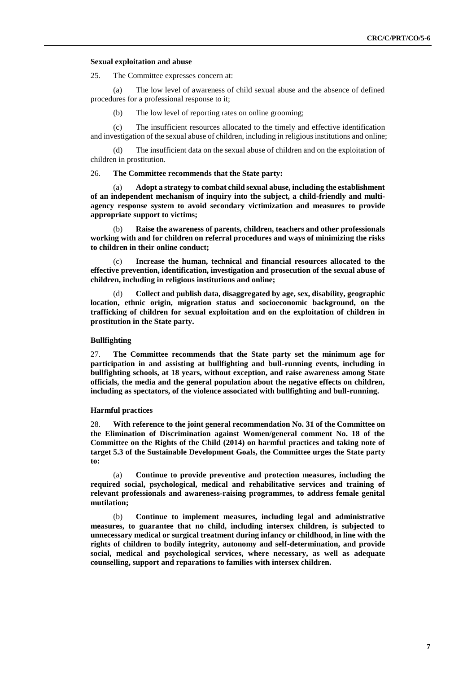#### **Sexual exploitation and abuse**

25. The Committee expresses concern at:

(a) The low level of awareness of child sexual abuse and the absence of defined procedures for a professional response to it;

(b) The low level of reporting rates on online grooming;

(c) The insufficient resources allocated to the timely and effective identification and investigation of the sexual abuse of children, including in religious institutions and online;

(d) The insufficient data on the sexual abuse of children and on the exploitation of children in prostitution.

#### 26. **The Committee recommends that the State party:**

(a) **Adopt a strategy to combat child sexual abuse, including the establishment of an independent mechanism of inquiry into the subject, a child-friendly and multiagency response system to avoid secondary victimization and measures to provide appropriate support to victims;**

Raise the awareness of parents, children, teachers and other professionals **working with and for children on referral procedures and ways of minimizing the risks to children in their online conduct;** 

(c) **Increase the human, technical and financial resources allocated to the effective prevention, identification, investigation and prosecution of the sexual abuse of children, including in religious institutions and online;**

(d) **Collect and publish data, disaggregated by age, sex, disability, geographic location, ethnic origin, migration status and socioeconomic background, on the trafficking of children for sexual exploitation and on the exploitation of children in prostitution in the State party.**

#### **Bullfighting**

27. **The Committee recommends that the State party set the minimum age for participation in and assisting at bullfighting and bull-running events, including in bullfighting schools, at 18 years, without exception, and raise awareness among State officials, the media and the general population about the negative effects on children, including as spectators, of the violence associated with bullfighting and bull-running.**

#### **Harmful practices**

28. **With reference to the joint general recommendation No. 31 of the Committee on the Elimination of Discrimination against Women/general comment No. 18 of the Committee on the Rights of the Child (2014) on harmful practices and taking note of target 5.3 of the Sustainable Development Goals, the Committee urges the State party to:**

(a) **Continue to provide preventive and protection measures, including the required social, psychological, medical and rehabilitative services and training of relevant professionals and awareness-raising programmes, to address female genital mutilation;**

(b) **Continue to implement measures, including legal and administrative measures, to guarantee that no child, including intersex children, is subjected to unnecessary medical or surgical treatment during infancy or childhood, in line with the rights of children to bodily integrity, autonomy and self-determination, and provide social, medical and psychological services, where necessary, as well as adequate counselling, support and reparations to families with intersex children.**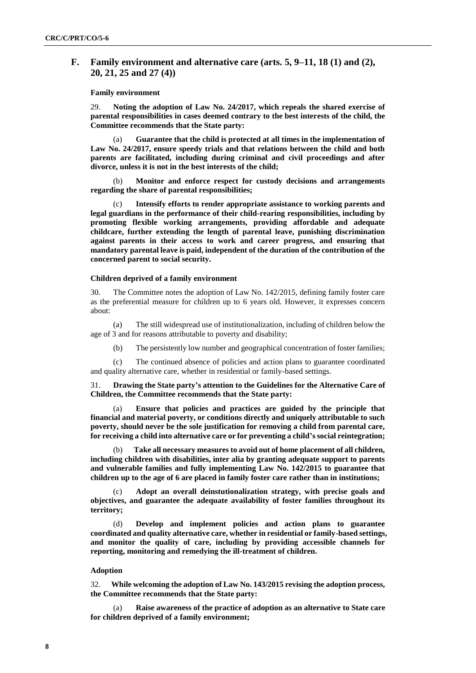## **F. Family environment and alternative care (arts. 5, 9–11, 18 (1) and (2), 20, 21, 25 and 27 (4))**

#### **Family environment**

29. **Noting the adoption of Law No. 24/2017, which repeals the shared exercise of parental responsibilities in cases deemed contrary to the best interests of the child, the Committee recommends that the State party:**

(a) **Guarantee that the child is protected at all times in the implementation of Law No. 24/2017, ensure speedy trials and that relations between the child and both parents are facilitated, including during criminal and civil proceedings and after divorce, unless it is not in the best interests of the child;**

(b) **Monitor and enforce respect for custody decisions and arrangements regarding the share of parental responsibilities;**

(c) **Intensify efforts to render appropriate assistance to working parents and legal guardians in the performance of their child-rearing responsibilities, including by promoting flexible working arrangements, providing affordable and adequate childcare, further extending the length of parental leave, punishing discrimination against parents in their access to work and career progress, and ensuring that mandatory parental leave is paid, independent of the duration of the contribution of the concerned parent to social security.**

### **Children deprived of a family environment**

30. The Committee notes the adoption of Law No. 142/2015, defining family foster care as the preferential measure for children up to 6 years old. However, it expresses concern about:

(a) The still widespread use of institutionalization, including of children below the age of 3 and for reasons attributable to poverty and disability;

(b) The persistently low number and geographical concentration of foster families;

(c) The continued absence of policies and action plans to guarantee coordinated and quality alternative care, whether in residential or family-based settings.

31. **Drawing the State party's attention to the Guidelines for the Alternative Care of Children, the Committee recommends that the State party:**

(a) **Ensure that policies and practices are guided by the principle that financial and material poverty, or conditions directly and uniquely attributable to such poverty, should never be the sole justification for removing a child from parental care, for receiving a child into alternative care or for preventing a child's social reintegration;**

(b) **Take all necessary measures to avoid out of home placement of all children, including children with disabilities, inter alia by granting adequate support to parents and vulnerable families and fully implementing Law No. 142/2015 to guarantee that children up to the age of 6 are placed in family foster care rather than in institutions;** 

(c) **Adopt an overall deinstutionalization strategy, with precise goals and objectives, and guarantee the adequate availability of foster families throughout its territory;** 

(d) **Develop and implement policies and action plans to guarantee coordinated and quality alternative care, whether in residential or family-based settings, and monitor the quality of care, including by providing accessible channels for reporting, monitoring and remedying the ill-treatment of children.**

#### **Adoption**

32. **While welcoming the adoption of Law No. 143/2015 revising the adoption process, the Committee recommends that the State party:**

(a) **Raise awareness of the practice of adoption as an alternative to State care for children deprived of a family environment;**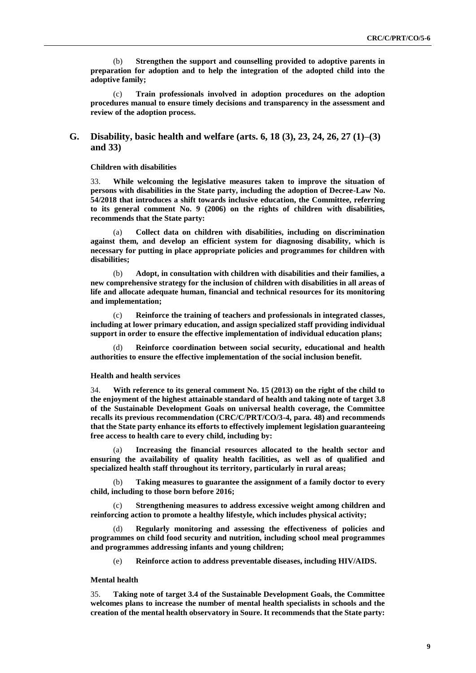(b) **Strengthen the support and counselling provided to adoptive parents in preparation for adoption and to help the integration of the adopted child into the adoptive family;**

(c) **Train professionals involved in adoption procedures on the adoption procedures manual to ensure timely decisions and transparency in the assessment and review of the adoption process.**

## **G. Disability, basic health and welfare (arts. 6, 18 (3), 23, 24, 26, 27 (1)–(3) and 33)**

#### **Children with disabilities**

33. **While welcoming the legislative measures taken to improve the situation of persons with disabilities in the State party, including the adoption of Decree-Law No. 54/2018 that introduces a shift towards inclusive education, the Committee, referring to its general comment No. 9 (2006) on the rights of children with disabilities, recommends that the State party:**

(a) **Collect data on children with disabilities, including on discrimination against them, and develop an efficient system for diagnosing disability, which is necessary for putting in place appropriate policies and programmes for children with disabilities;**

(b) **Adopt, in consultation with children with disabilities and their families, a new comprehensive strategy for the inclusion of children with disabilities in all areas of life and allocate adequate human, financial and technical resources for its monitoring and implementation;**

(c) **Reinforce the training of teachers and professionals in integrated classes, including at lower primary education, and assign specialized staff providing individual support in order to ensure the effective implementation of individual education plans;**

Reinforce coordination between social security, educational and health **authorities to ensure the effective implementation of the social inclusion benefit.** 

#### **Health and health services**

34. **With reference to its general comment No. 15 (2013) on the right of the child to the enjoyment of the highest attainable standard of health and taking note of target 3.8 of the Sustainable Development Goals on universal health coverage, the Committee recalls its previous recommendation (CRC/C/PRT/CO/3-4, para. 48) and recommends that the State party enhance its efforts to effectively implement legislation guaranteeing free access to health care to every child, including by:**

(a) **Increasing the financial resources allocated to the health sector and ensuring the availability of quality health facilities, as well as of qualified and specialized health staff throughout its territory, particularly in rural areas;**

Taking measures to guarantee the assignment of a family doctor to every **child, including to those born before 2016;**

(c) **Strengthening measures to address excessive weight among children and reinforcing action to promote a healthy lifestyle, which includes physical activity;**

Regularly monitoring and assessing the effectiveness of policies and **programmes on child food security and nutrition, including school meal programmes and programmes addressing infants and young children;**

(e) **Reinforce action to address preventable diseases, including HIV/AIDS.**

#### **Mental health**

35. **Taking note of target 3.4 of the Sustainable Development Goals, the Committee welcomes plans to increase the number of mental health specialists in schools and the creation of the mental health observatory in Soure. It recommends that the State party:**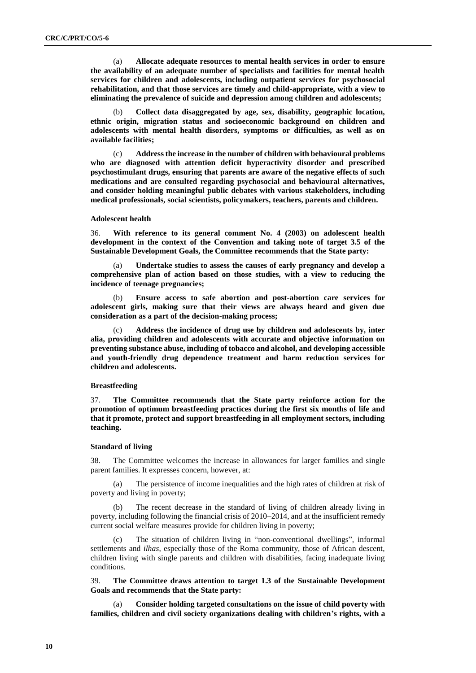(a) **Allocate adequate resources to mental health services in order to ensure the availability of an adequate number of specialists and facilities for mental health services for children and adolescents, including outpatient services for psychosocial rehabilitation, and that those services are timely and child-appropriate, with a view to eliminating the prevalence of suicide and depression among children and adolescents;**

(b) **Collect data disaggregated by age, sex, disability, geographic location, ethnic origin, migration status and socioeconomic background on children and adolescents with mental health disorders, symptoms or difficulties, as well as on available facilities;**

(c) **Address the increase in the number of children with behavioural problems who are diagnosed with attention deficit hyperactivity disorder and prescribed psychostimulant drugs, ensuring that parents are aware of the negative effects of such medications and are consulted regarding psychosocial and behavioural alternatives, and consider holding meaningful public debates with various stakeholders, including medical professionals, social scientists, policymakers, teachers, parents and children.**

#### **Adolescent health**

36. **With reference to its general comment No. 4 (2003) on adolescent health development in the context of the Convention and taking note of target 3.5 of the Sustainable Development Goals, the Committee recommends that the State party:**

Undertake studies to assess the causes of early pregnancy and develop a **comprehensive plan of action based on those studies, with a view to reducing the incidence of teenage pregnancies;**

(b) **Ensure access to safe abortion and post-abortion care services for adolescent girls, making sure that their views are always heard and given due consideration as a part of the decision-making process;**

(c) **Address the incidence of drug use by children and adolescents by, inter alia, providing children and adolescents with accurate and objective information on preventing substance abuse, including of tobacco and alcohol, and developing accessible and youth-friendly drug dependence treatment and harm reduction services for children and adolescents.**

#### **Breastfeeding**

37. **The Committee recommends that the State party reinforce action for the promotion of optimum breastfeeding practices during the first six months of life and that it promote, protect and support breastfeeding in all employment sectors, including teaching.**

#### **Standard of living**

38. The Committee welcomes the increase in allowances for larger families and single parent families. It expresses concern, however, at:

(a) The persistence of income inequalities and the high rates of children at risk of poverty and living in poverty;

(b) The recent decrease in the standard of living of children already living in poverty, including following the financial crisis of 2010–2014, and at the insufficient remedy current social welfare measures provide for children living in poverty;

(c) The situation of children living in "non-conventional dwellings", informal settlements and *ilhas*, especially those of the Roma community, those of African descent, children living with single parents and children with disabilities, facing inadequate living conditions.

39. **The Committee draws attention to target 1.3 of the Sustainable Development Goals and recommends that the State party:**

(a) **Consider holding targeted consultations on the issue of child poverty with families, children and civil society organizations dealing with children's rights, with a**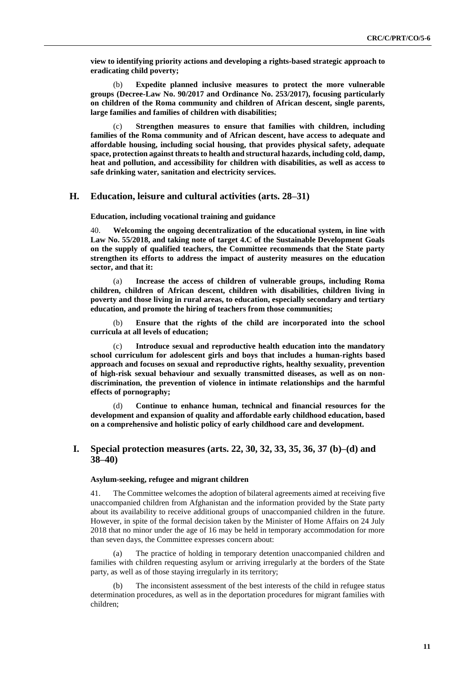**view to identifying priority actions and developing a rights-based strategic approach to eradicating child poverty;**

(b) **Expedite planned inclusive measures to protect the more vulnerable groups (Decree-Law No. 90/2017 and Ordinance No. 253/2017), focusing particularly on children of the Roma community and children of African descent, single parents, large families and families of children with disabilities;**

(c) **Strengthen measures to ensure that families with children, including families of the Roma community and of African descent, have access to adequate and affordable housing, including social housing, that provides physical safety, adequate space, protection against threats to health and structural hazards, including cold, damp, heat and pollution, and accessibility for children with disabilities, as well as access to safe drinking water, sanitation and electricity services.**

## **H. Education, leisure and cultural activities (arts. 28–31)**

**Education, including vocational training and guidance**

40. **Welcoming the ongoing decentralization of the educational system, in line with Law No. 55/2018, and taking note of target 4.C of the Sustainable Development Goals on the supply of qualified teachers, the Committee recommends that the State party strengthen its efforts to address the impact of austerity measures on the education sector, and that it:**

(a) **Increase the access of children of vulnerable groups, including Roma children, children of African descent, children with disabilities, children living in poverty and those living in rural areas, to education, especially secondary and tertiary education, and promote the hiring of teachers from those communities;**

(b) **Ensure that the rights of the child are incorporated into the school curricula at all levels of education;**

(c) **Introduce sexual and reproductive health education into the mandatory school curriculum for adolescent girls and boys that includes a human-rights based approach and focuses on sexual and reproductive rights, healthy sexuality, prevention of high-risk sexual behaviour and sexually transmitted diseases, as well as on nondiscrimination, the prevention of violence in intimate relationships and the harmful effects of pornography;**

(d) **Continue to enhance human, technical and financial resources for the development and expansion of quality and affordable early childhood education, based on a comprehensive and holistic policy of early childhood care and development.**

## **I. Special protection measures (arts. 22, 30, 32, 33, 35, 36, 37 (b)–(d) and 38–40)**

#### **Asylum-seeking, refugee and migrant children**

The Committee welcomes the adoption of bilateral agreements aimed at receiving five unaccompanied children from Afghanistan and the information provided by the State party about its availability to receive additional groups of unaccompanied children in the future. However, in spite of the formal decision taken by the Minister of Home Affairs on 24 July 2018 that no minor under the age of 16 may be held in temporary accommodation for more than seven days, the Committee expresses concern about:

The practice of holding in temporary detention unaccompanied children and families with children requesting asylum or arriving irregularly at the borders of the State party, as well as of those staying irregularly in its territory;

The inconsistent assessment of the best interests of the child in refugee status determination procedures, as well as in the deportation procedures for migrant families with children;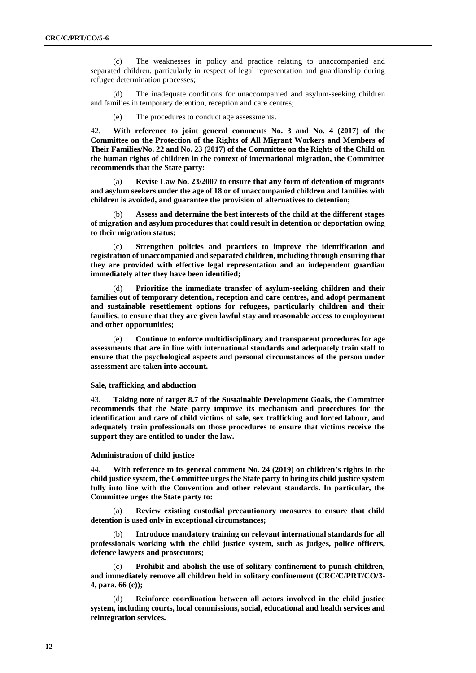(c) The weaknesses in policy and practice relating to unaccompanied and separated children, particularly in respect of legal representation and guardianship during refugee determination processes;

The inadequate conditions for unaccompanied and asylum-seeking children and families in temporary detention, reception and care centres;

(e) The procedures to conduct age assessments.

42. **With reference to joint general comments No. 3 and No. 4 (2017) of the Committee on the Protection of the Rights of All Migrant Workers and Members of Their Families/No. 22 and No. 23 (2017) of the Committee on the Rights of the Child on the human rights of children in the context of international migration, the Committee recommends that the State party:**

(a) **Revise Law No. 23/2007 to ensure that any form of detention of migrants and asylum seekers under the age of 18 or of unaccompanied children and families with children is avoided, and guarantee the provision of alternatives to detention;**

(b) **Assess and determine the best interests of the child at the different stages of migration and asylum procedures that could result in detention or deportation owing to their migration status;**

(c) **Strengthen policies and practices to improve the identification and registration of unaccompanied and separated children, including through ensuring that they are provided with effective legal representation and an independent guardian immediately after they have been identified;**

(d) **Prioritize the immediate transfer of asylum-seeking children and their families out of temporary detention, reception and care centres, and adopt permanent and sustainable resettlement options for refugees, particularly children and their families, to ensure that they are given lawful stay and reasonable access to employment and other opportunities;**

(e) **Continue to enforce multidisciplinary and transparent procedures for age assessments that are in line with international standards and adequately train staff to ensure that the psychological aspects and personal circumstances of the person under assessment are taken into account.**

#### **Sale, trafficking and abduction**

43. **Taking note of target 8.7 of the Sustainable Development Goals, the Committee recommends that the State party improve its mechanism and procedures for the identification and care of child victims of sale, sex trafficking and forced labour, and adequately train professionals on those procedures to ensure that victims receive the support they are entitled to under the law.**

#### **Administration of child justice**

44. **With reference to its general comment No. 24 (2019) on children's rights in the child justice system, the Committee urges the State party to bring its child justice system fully into line with the Convention and other relevant standards. In particular, the Committee urges the State party to:**

(a) **Review existing custodial precautionary measures to ensure that child detention is used only in exceptional circumstances;**

Introduce mandatory training on relevant international standards for all **professionals working with the child justice system, such as judges, police officers, defence lawyers and prosecutors;**

(c) **Prohibit and abolish the use of solitary confinement to punish children, and immediately remove all children held in solitary confinement (CRC/C/PRT/CO/3- 4, para. 66 (c));**

(d) **Reinforce coordination between all actors involved in the child justice system, including courts, local commissions, social, educational and health services and reintegration services.**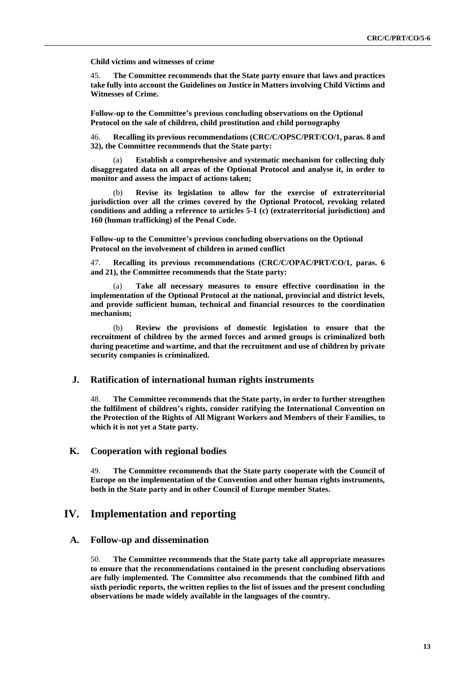**Child victims and witnesses of crime**

45. **The Committee recommends that the State party ensure that laws and practices take fully into account the Guidelines on Justice in Matters involving Child Victims and Witnesses of Crime.**

**Follow-up to the Committee's previous concluding observations on the Optional Protocol on the sale of children, child prostitution and child pornography**

46. **Recalling its previous recommendations (CRC/C/OPSC/PRT/CO/1, paras. 8 and 32), the Committee recommends that the State party:**

Establish a comprehensive and systematic mechanism for collecting duly **disaggregated data on all areas of the Optional Protocol and analyse it, in order to monitor and assess the impact of actions taken;**

Revise its legislation to allow for the exercise of extraterritorial **jurisdiction over all the crimes covered by the Optional Protocol, revoking related conditions and adding a reference to articles 5-1 (c) (extraterritorial jurisdiction) and 160 (human trafficking) of the Penal Code.** 

**Follow-up to the Committee's previous concluding observations on the Optional Protocol on the involvement of children in armed conflict**

47. **Recalling its previous recommendations (CRC/C/OPAC/PRT/CO/1, paras. 6 and 21), the Committee recommends that the State party:**

Take all necessary measures to ensure effective coordination in the **implementation of the Optional Protocol at the national, provincial and district levels, and provide sufficient human, technical and financial resources to the coordination mechanism;**

(b) **Review the provisions of domestic legislation to ensure that the recruitment of children by the armed forces and armed groups is criminalized both during peacetime and wartime, and that the recruitment and use of children by private security companies is criminalized.**

## **J. Ratification of international human rights instruments**

48. **The Committee recommends that the State party, in order to further strengthen the fulfilment of children's rights, consider ratifying the International Convention on the Protection of the Rights of All Migrant Workers and Members of their Families, to which it is not yet a State party.**

## **K. Cooperation with regional bodies**

49. **The Committee recommends that the State party cooperate with the Council of Europe on the implementation of the Convention and other human rights instruments, both in the State party and in other Council of Europe member States.** 

## **IV. Implementation and reporting**

## **A. Follow-up and dissemination**

50. **The Committee recommends that the State party take all appropriate measures to ensure that the recommendations contained in the present concluding observations are fully implemented. The Committee also recommends that the combined fifth and sixth periodic reports, the written replies to the list of issues and the present concluding observations be made widely available in the languages of the country.**